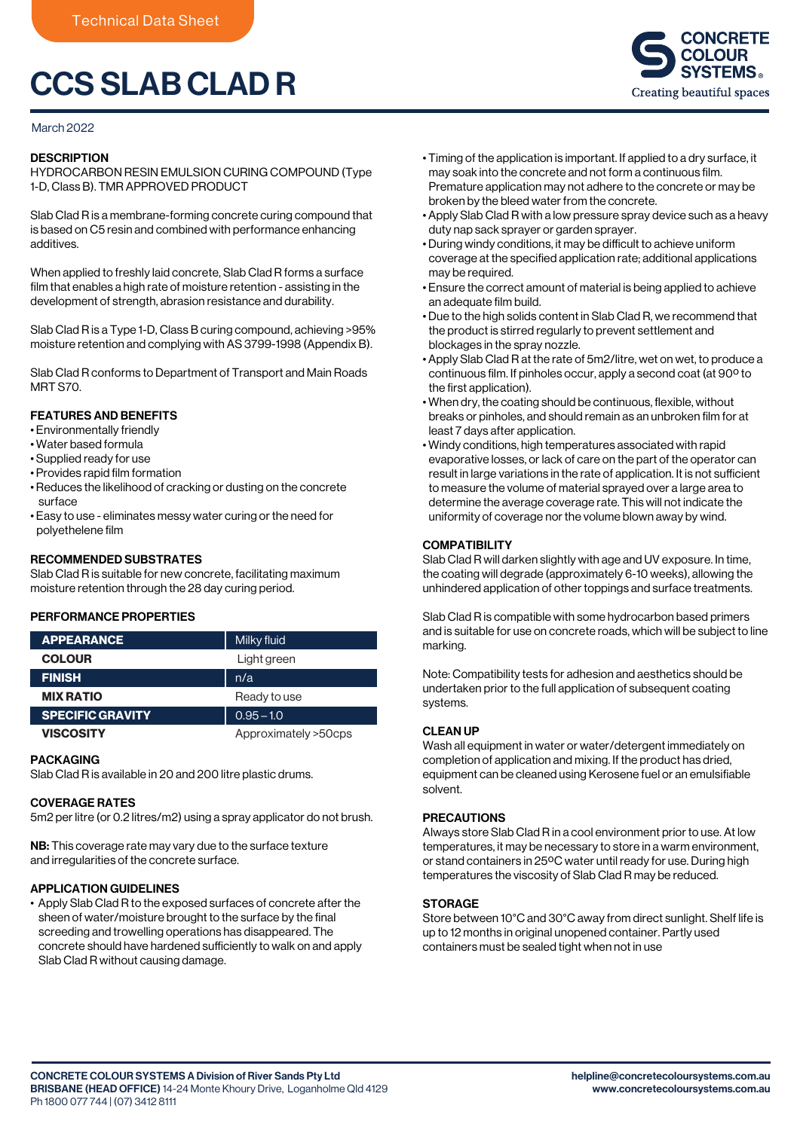# CCS SLAB CLAD R

#### March 2022

#### **DESCRIPTION**

HYDROCARBON RESIN EMULSION CURING COMPOUND (Type 1-D, Class B). TMR APPROVED PRODUCT

Slab Clad R is a membrane-forming concrete curing compound that is based on C5 resin and combined with performance enhancing additives.

When applied to freshly laid concrete, Slab Clad R forms a surface film that enables a high rate of moisture retention - assisting in the development of strength, abrasion resistance and durability.

Slab Clad R is a Type 1-D, Class B curing compound, achieving >95% moisture retention and complying with AS 3799-1998 (Appendix B).

Slab Clad R conforms to Department of Transport and Main Roads MRT S70.

# FEATURES AND BENEFITS

- Environmentally friendly
- Water based formula
- Supplied ready for use
- Provides rapid film formation
- Reduces the likelihood of cracking or dusting on the concrete surface
- Easy to use eliminates messy water curing or the need for polyethelene film

## RECOMMENDED SUBSTRATES

Slab Clad R is suitable for new concrete, facilitating maximum moisture retention through the 28 day curing period.

## PERFORMANCE PROPERTIES

| <b>APPEARANCE</b>       | Milky fluid          |
|-------------------------|----------------------|
| <b>COLOUR</b>           | Light green          |
| <b>FINISH</b>           | n/a                  |
| <b>MIX RATIO</b>        | Ready to use         |
| <b>SPECIFIC GRAVITY</b> | $0.95 - 1.0$         |
| <b>VISCOSITY</b>        | Approximately >50cps |

#### **PACKAGING**

Slab Clad R is available in 20 and 200 litre plastic drums.

# COVERAGE RATES

5m2 per litre (or 0.2 litres/m2) using a spray applicator do not brush.

NB: This coverage rate may vary due to the surface texture and irregularities of the concrete surface.

# APPLICATION GUIDELINES

• Apply Slab Clad R to the exposed surfaces of concrete after the sheen of water/moisture brought to the surface by the final screeding and trowelling operations has disappeared. The concrete should have hardened sufficiently to walk on and apply Slab Clad R without causing damage.

- Timing of the application is important. If applied to a dry surface, it may soak into the concrete and not form a continuous film. Premature application may not adhere to the concrete or may be broken by the bleed water from the concrete.
- Apply Slab Clad R with a low pressure spray device such as a heavy duty nap sack sprayer or garden sprayer.
- During windy conditions, it may be difficult to achieve uniform coverage at the specified application rate; additional applications may be required.
- Ensure the correct amount of material is being applied to achieve an adequate film build.
- Due to the high solids content in Slab Clad R, we recommend that the product is stirred regularly to prevent settlement and blockages in the spray nozzle.
- Apply Slab Clad R at the rate of 5m2/litre, wet on wet, to produce a continuous film. If pinholes occur, apply a second coat (at 90º to the first application).
- When dry, the coating should be continuous, flexible, without breaks or pinholes, and should remain as an unbroken film for at least 7 days after application.
- Windy conditions, high temperatures associated with rapid evaporative losses, or lack of care on the part of the operator can result in large variations in the rate of application. It is not sufficient to measure the volume of material sprayed over a large area to determine the average coverage rate. This will not indicate the uniformity of coverage nor the volume blown away by wind.

## **COMPATIBILITY**

Slab Clad R will darken slightly with age and UV exposure. In time, the coating will degrade (approximately 6-10 weeks), allowing the unhindered application of other toppings and surface treatments.

Slab Clad R is compatible with some hydrocarbon based primers and is suitable for use on concrete roads, which will be subject to line marking.

Note: Compatibility tests for adhesion and aesthetics should be undertaken prior to the full application of subsequent coating systems.

# CLEAN UP

Wash all equipment in water or water/detergent immediately on completion of application and mixing. If the product has dried, equipment can be cleaned using Kerosene fuel or an emulsifiable solvent.

## PRECAUTIONS

Always store Slab Clad R in a cool environment prior to use. At low temperatures, it may be necessary to store in a warm environment, or stand containers in 25ºC water until ready for use. During high temperatures the viscosity of Slab Clad R may be reduced.

## **STORAGE**

Store between 10°C and 30°C away from direct sunlight. Shelf life is up to 12 months in original unopened container. Partly used containers must be sealed tight when not in use